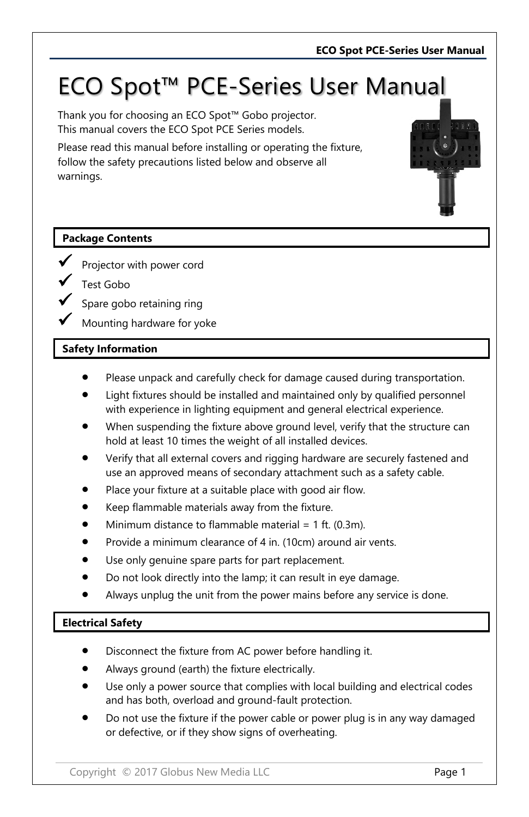# ECO Spot™ PCE-Series User Manual

Thank you for choosing an ECO Spot™ Gobo projector. This manual covers the ECO Spot PCE Series models.

Please read this manual before installing or operating the fixture, follow the safety precautions listed below and observe all warnings.

## **Package Contents**

- Projector with power cord
- Test Gobo
- Spare gobo retaining ring
- Mounting hardware for yoke

## **Safety Information**

- Please unpack and carefully check for damage caused during transportation.
- Light fixtures should be installed and maintained only by qualified personnel with experience in lighting equipment and general electrical experience.
- When suspending the fixture above ground level, verify that the structure can hold at least 10 times the weight of all installed devices.
- Verify that all external covers and rigging hardware are securely fastened and use an approved means of secondary attachment such as a safety cable.
- Place your fixture at a suitable place with good air flow.
- Keep flammable materials away from the fixture.
- Minimum distance to flammable material =  $1$  ft. (0.3m).
- Provide a minimum clearance of 4 in. (10cm) around air vents.
- Use only genuine spare parts for part replacement.
- Do not look directly into the lamp; it can result in eye damage.
- Always unplug the unit from the power mains before any service is done.

## **Electrical Safety**

- Disconnect the fixture from AC power before handling it.
- Always ground (earth) the fixture electrically.
- Use only a power source that complies with local building and electrical codes and has both, overload and ground-fault protection.
- Do not use the fixture if the power cable or power plug is in any way damaged or defective, or if they show signs of overheating.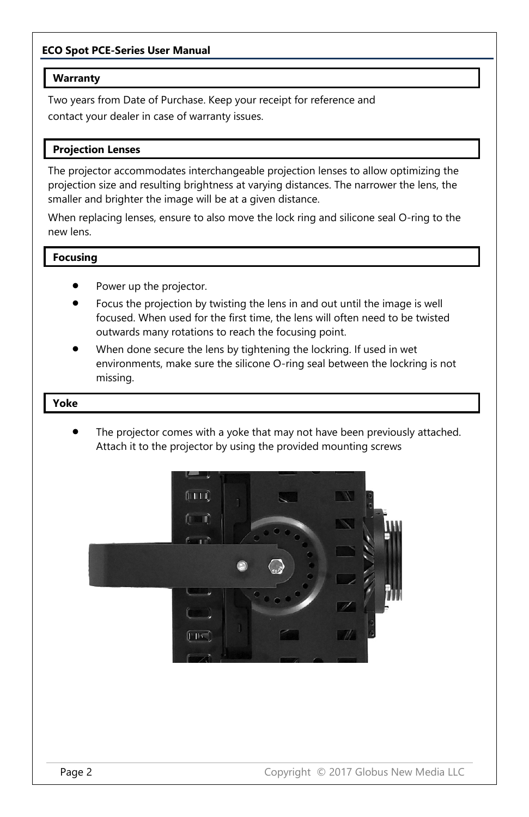### **ECO Spot PCE-Series User Manual**

#### **Warranty**

Two years from Date of Purchase. Keep your receipt for reference and contact your dealer in case of warranty issues.

#### **Projection Lenses**

The projector accommodates interchangeable projection lenses to allow optimizing the projection size and resulting brightness at varying distances. The narrower the lens, the smaller and brighter the image will be at a given distance.

When replacing lenses, ensure to also move the lock ring and silicone seal O-ring to the new lens.

#### **Focusing**

- Power up the projector.
- Focus the projection by twisting the lens in and out until the image is well focused. When used for the first time, the lens will often need to be twisted outwards many rotations to reach the focusing point.
- When done secure the lens by tightening the lockring. If used in wet environments, make sure the silicone O-ring seal between the lockring is not missing.

#### **Yoke**

The projector comes with a yoke that may not have been previously attached. Attach it to the projector by using the provided mounting screws

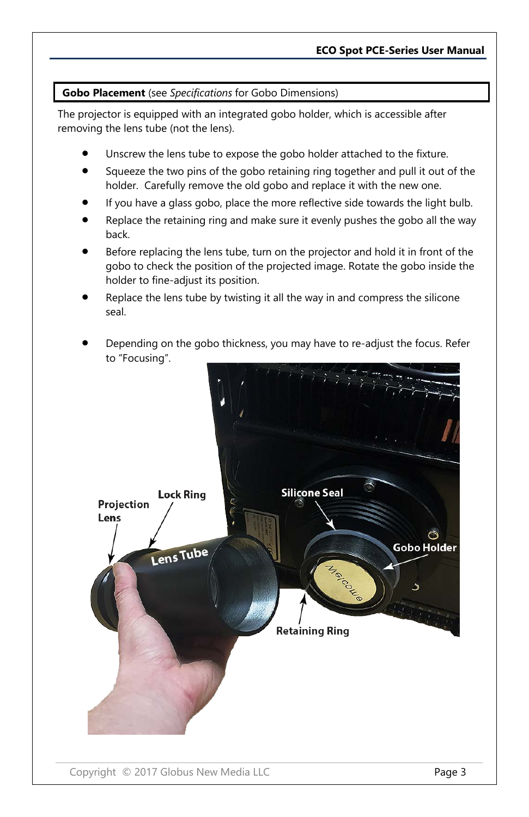#### **Gobo Placement** (see *Specifications* for Gobo Dimensions)

The projector is equipped with an integrated gobo holder, which is accessible after removing the lens tube (not the lens).

- Unscrew the lens tube to expose the gobo holder attached to the fixture.
- Squeeze the two pins of the gobo retaining ring together and pull it out of the holder. Carefully remove the old gobo and replace it with the new one.
- If you have a glass gobo, place the more reflective side towards the light bulb.
- Replace the retaining ring and make sure it evenly pushes the gobo all the way back.
- Before replacing the lens tube, turn on the projector and hold it in front of the gobo to check the position of the projected image. Rotate the gobo inside the holder to fine-adjust its position.
- Replace the lens tube by twisting it all the way in and compress the silicone seal.
- Depending on the gobo thickness, you may have to re-adjust the focus. Refer to "Focusing".